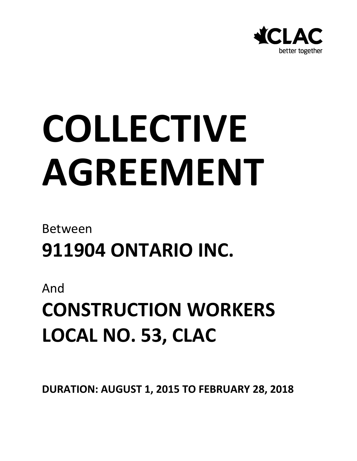

# **COLLECTIVE AGREEMENT**

### Between **911904 ONTARIO INC.**

And

### **CONSTRUCTION WORKERS LOCAL NO. 53, CLAC**

**DURATION: AUGUST 1, 2015 TO FEBRUARY 28, 2018**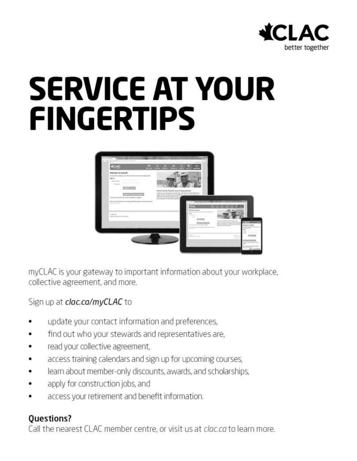

## **SERVICE AT YOUR FINGERTIPS**



myCLAC is your gateway to important information about your workplace, collective agreement, and more.

Sign up at clac.ca/myCLAC to

- update your contact information and preferences,
- find out who your stewards and representatives are,
- read your collective agreement,
- access training calendars and sign up for upcoming courses,
- learn about member-only discounts, awards, and scholarships,
- apply for construction jobs, and
- access your retirement and benefit information.

#### **Questions?**

Call the nearest CLAC member centre, or visit us at *clac.ca* to learn more.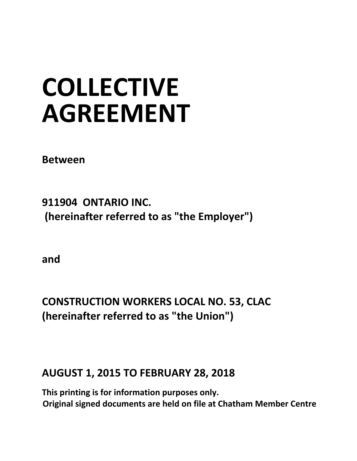## **COLLECTIVE AGREEMENT**

**Between** 

**911904 ONTARIO INC. (hereinafter referred to as "the Employer")** 

**and** 

**CONSTRUCTION WORKERS LOCAL NO. 53, CLAC (hereinafter referred to as "the Union")** 

#### **AUGUST 1, 2015 TO FEBRUARY 28, 2018**

**This printing is for information purposes only. Original signed documents are held on file at Chatham Member Centre**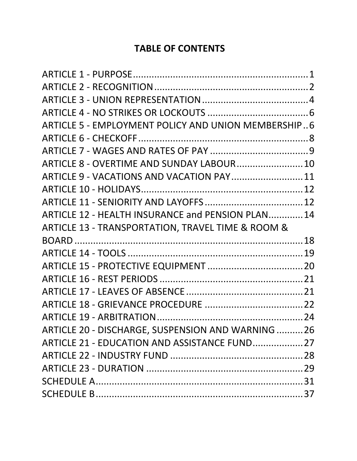#### **TABLE OF CONTENTS**

| ARTICLE 5 - EMPLOYMENT POLICY AND UNION MEMBERSHIP6 |  |
|-----------------------------------------------------|--|
|                                                     |  |
|                                                     |  |
| ARTICLE 8 - OVERTIME AND SUNDAY LABOUR 10           |  |
| ARTICLE 9 - VACATIONS AND VACATION PAY 11           |  |
|                                                     |  |
|                                                     |  |
| ARTICLE 12 - HEALTH INSURANCE and PENSION PLAN 14   |  |
| ARTICLE 13 - TRANSPORTATION, TRAVEL TIME & ROOM &   |  |
|                                                     |  |
|                                                     |  |
|                                                     |  |
|                                                     |  |
|                                                     |  |
|                                                     |  |
|                                                     |  |
| ARTICLE 20 - DISCHARGE, SUSPENSION AND WARNING 26   |  |
| ARTICLE 21 - EDUCATION AND ASSISTANCE FUND 27       |  |
|                                                     |  |
|                                                     |  |
|                                                     |  |
|                                                     |  |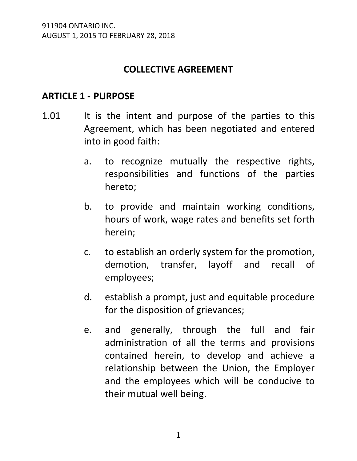#### **COLLECTIVE AGREEMENT**

#### <span id="page-4-0"></span>**ARTICLE 1 - PURPOSE**

- 1.01 It is the intent and purpose of the parties to this Agreement, which has been negotiated and entered into in good faith:
	- a. to recognize mutually the respective rights, responsibilities and functions of the parties hereto;
	- b. to provide and maintain working conditions, hours of work, wage rates and benefits set forth herein;
	- c. to establish an orderly system for the promotion, demotion, transfer, layoff and recall of employees;
	- d. establish a prompt, just and equitable procedure for the disposition of grievances;
	- e. and generally, through the full and fair administration of all the terms and provisions contained herein, to develop and achieve a relationship between the Union, the Employer and the employees which will be conducive to their mutual well being.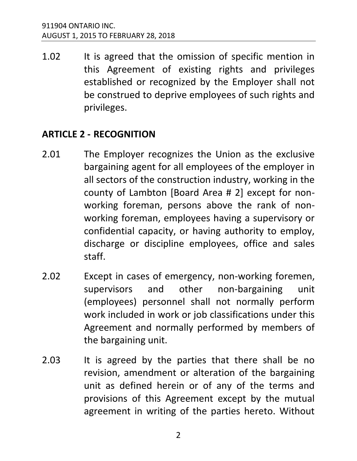1.02 It is agreed that the omission of specific mention in this Agreement of existing rights and privileges established or recognized by the Employer shall not be construed to deprive employees of such rights and privileges.

#### <span id="page-5-0"></span>**ARTICLE 2 - RECOGNITION**

- 2.01 The Employer recognizes the Union as the exclusive bargaining agent for all employees of the employer in all sectors of the construction industry, working in the county of Lambton [Board Area # 2] except for nonworking foreman, persons above the rank of nonworking foreman, employees having a supervisory or confidential capacity, or having authority to employ, discharge or discipline employees, office and sales staff.
- 2.02 Except in cases of emergency, non-working foremen, supervisors and other non-bargaining unit (employees) personnel shall not normally perform work included in work or job classifications under this Agreement and normally performed by members of the bargaining unit.
- 2.03 It is agreed by the parties that there shall be no revision, amendment or alteration of the bargaining unit as defined herein or of any of the terms and provisions of this Agreement except by the mutual agreement in writing of the parties hereto. Without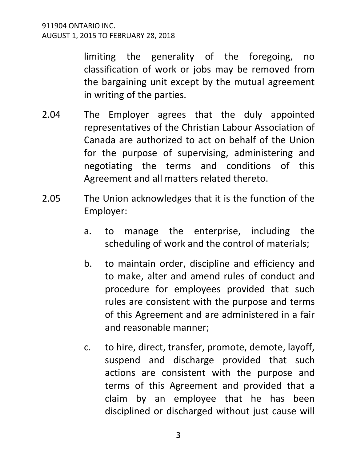limiting the generality of the foregoing, no classification of work or jobs may be removed from the bargaining unit except by the mutual agreement in writing of the parties.

- 2.04 The Employer agrees that the duly appointed representatives of the Christian Labour Association of Canada are authorized to act on behalf of the Union for the purpose of supervising, administering and negotiating the terms and conditions of this Agreement and all matters related thereto.
- 2.05 The Union acknowledges that it is the function of the Employer:
	- a. to manage the enterprise, including the scheduling of work and the control of materials;
	- b. to maintain order, discipline and efficiency and to make, alter and amend rules of conduct and procedure for employees provided that such rules are consistent with the purpose and terms of this Agreement and are administered in a fair and reasonable manner;
	- c. to hire, direct, transfer, promote, demote, layoff, suspend and discharge provided that such actions are consistent with the purpose and terms of this Agreement and provided that a claim by an employee that he has been disciplined or discharged without just cause will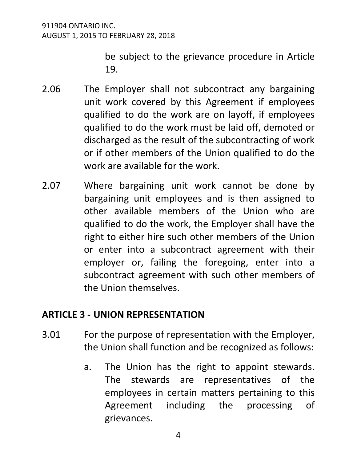be subject to the grievance procedure in Article 19.

- 2.06 The Employer shall not subcontract any bargaining unit work covered by this Agreement if employees qualified to do the work are on layoff, if employees qualified to do the work must be laid off, demoted or discharged as the result of the subcontracting of work or if other members of the Union qualified to do the work are available for the work.
- 2.07 Where bargaining unit work cannot be done by bargaining unit employees and is then assigned to other available members of the Union who are qualified to do the work, the Employer shall have the right to either hire such other members of the Union or enter into a subcontract agreement with their employer or, failing the foregoing, enter into a subcontract agreement with such other members of the Union themselves.

#### <span id="page-7-0"></span>**ARTICLE 3 - UNION REPRESENTATION**

- 3.01 For the purpose of representation with the Employer, the Union shall function and be recognized as follows:
	- a. The Union has the right to appoint stewards. The stewards are representatives of the employees in certain matters pertaining to this Agreement including the processing of grievances.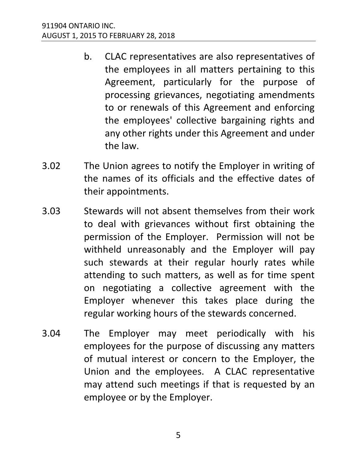- b. CLAC representatives are also representatives of the employees in all matters pertaining to this Agreement, particularly for the purpose of processing grievances, negotiating amendments to or renewals of this Agreement and enforcing the employees' collective bargaining rights and any other rights under this Agreement and under the law.
- 3.02 The Union agrees to notify the Employer in writing of the names of its officials and the effective dates of their appointments.
- 3.03 Stewards will not absent themselves from their work to deal with grievances without first obtaining the permission of the Employer. Permission will not be withheld unreasonably and the Employer will pay such stewards at their regular hourly rates while attending to such matters, as well as for time spent on negotiating a collective agreement with the Employer whenever this takes place during the regular working hours of the stewards concerned.
- 3.04 The Employer may meet periodically with his employees for the purpose of discussing any matters of mutual interest or concern to the Employer, the Union and the employees. A CLAC representative may attend such meetings if that is requested by an employee or by the Employer.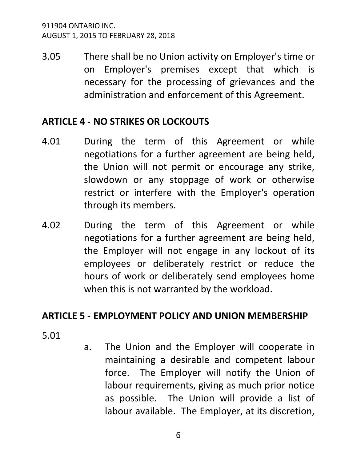3.05 There shall be no Union activity on Employer's time or on Employer's premises except that which is necessary for the processing of grievances and the administration and enforcement of this Agreement.

#### <span id="page-9-0"></span>**ARTICLE 4 - NO STRIKES OR LOCKOUTS**

- 4.01 During the term of this Agreement or while negotiations for a further agreement are being held, the Union will not permit or encourage any strike, slowdown or any stoppage of work or otherwise restrict or interfere with the Employer's operation through its members.
- 4.02 During the term of this Agreement or while negotiations for a further agreement are being held, the Employer will not engage in any lockout of its employees or deliberately restrict or reduce the hours of work or deliberately send employees home when this is not warranted by the workload.

#### <span id="page-9-1"></span>**ARTICLE 5 - EMPLOYMENT POLICY AND UNION MEMBERSHIP**

5.01

a. The Union and the Employer will cooperate in maintaining a desirable and competent labour force. The Employer will notify the Union of labour requirements, giving as much prior notice as possible. The Union will provide a list of labour available. The Employer, at its discretion,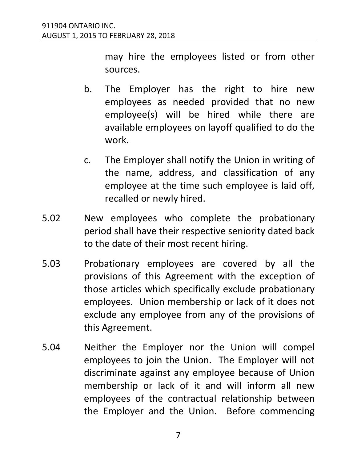may hire the employees listed or from other sources.

- b. The Employer has the right to hire new employees as needed provided that no new employee(s) will be hired while there are available employees on layoff qualified to do the work.
- c. The Employer shall notify the Union in writing of the name, address, and classification of any employee at the time such employee is laid off, recalled or newly hired.
- 5.02 New employees who complete the probationary period shall have their respective seniority dated back to the date of their most recent hiring.
- 5.03 Probationary employees are covered by all the provisions of this Agreement with the exception of those articles which specifically exclude probationary employees. Union membership or lack of it does not exclude any employee from any of the provisions of this Agreement.
- 5.04 Neither the Employer nor the Union will compel employees to join the Union. The Employer will not discriminate against any employee because of Union membership or lack of it and will inform all new employees of the contractual relationship between the Employer and the Union. Before commencing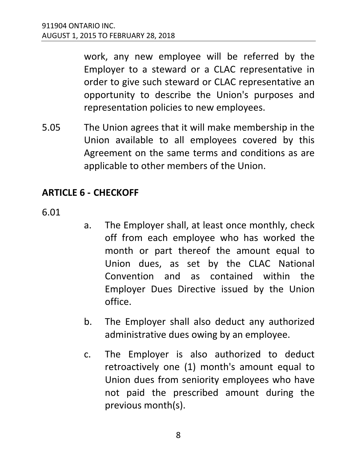work, any new employee will be referred by the Employer to a steward or a CLAC representative in order to give such steward or CLAC representative an opportunity to describe the Union's purposes and representation policies to new employees.

5.05 The Union agrees that it will make membership in the Union available to all employees covered by this Agreement on the same terms and conditions as are applicable to other members of the Union.

#### <span id="page-11-0"></span>**ARTICLE 6 - CHECKOFF**

6.01

- a. The Employer shall, at least once monthly, check off from each employee who has worked the month or part thereof the amount equal to Union dues, as set by the CLAC National Convention and as contained within the Employer Dues Directive issued by the Union office.
- b. The Employer shall also deduct any authorized administrative dues owing by an employee.
- c. The Employer is also authorized to deduct retroactively one (1) month's amount equal to Union dues from seniority employees who have not paid the prescribed amount during the previous month(s).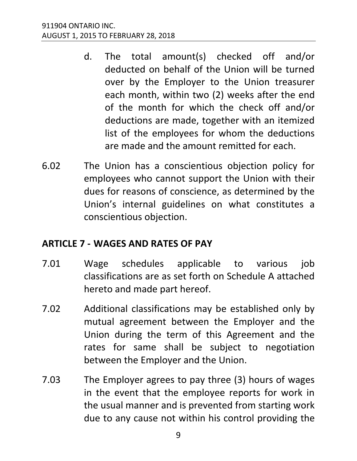- d. The total amount(s) checked off and/or deducted on behalf of the Union will be turned over by the Employer to the Union treasurer each month, within two (2) weeks after the end of the month for which the check off and/or deductions are made, together with an itemized list of the employees for whom the deductions are made and the amount remitted for each.
- 6.02 The Union has a conscientious objection policy for employees who cannot support the Union with their dues for reasons of conscience, as determined by the Union's internal guidelines on what constitutes a conscientious objection.

#### <span id="page-12-0"></span>**ARTICLE 7 - WAGES AND RATES OF PAY**

- 7.01 Wage schedules applicable to various job classifications are as set forth on Schedule A attached hereto and made part hereof.
- 7.02 Additional classifications may be established only by mutual agreement between the Employer and the Union during the term of this Agreement and the rates for same shall be subject to negotiation between the Employer and the Union.
- 7.03 The Employer agrees to pay three (3) hours of wages in the event that the employee reports for work in the usual manner and is prevented from starting work due to any cause not within his control providing the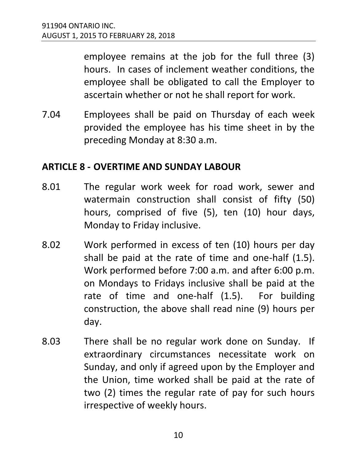employee remains at the job for the full three (3) hours. In cases of inclement weather conditions, the employee shall be obligated to call the Employer to ascertain whether or not he shall report for work.

7.04 Employees shall be paid on Thursday of each week provided the employee has his time sheet in by the preceding Monday at 8:30 a.m.

#### <span id="page-13-0"></span>**ARTICLE 8 - OVERTIME AND SUNDAY LABOUR**

- 8.01 The regular work week for road work, sewer and watermain construction shall consist of fifty (50) hours, comprised of five (5), ten (10) hour days, Monday to Friday inclusive.
- 8.02 Work performed in excess of ten (10) hours per day shall be paid at the rate of time and one-half (1.5). Work performed before 7:00 a.m. and after 6:00 p.m. on Mondays to Fridays inclusive shall be paid at the rate of time and one-half (1.5). For building construction, the above shall read nine (9) hours per day.
- 8.03 There shall be no regular work done on Sunday. If extraordinary circumstances necessitate work on Sunday, and only if agreed upon by the Employer and the Union, time worked shall be paid at the rate of two (2) times the regular rate of pay for such hours irrespective of weekly hours.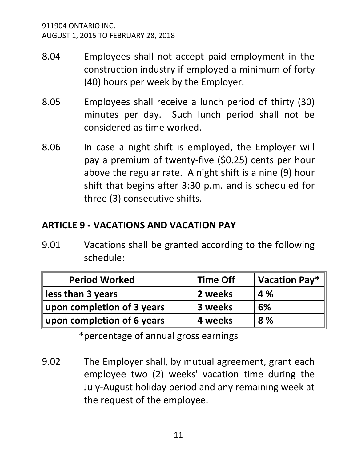- 8.04 Employees shall not accept paid employment in the construction industry if employed a minimum of forty (40) hours per week by the Employer.
- 8.05 Employees shall receive a lunch period of thirty (30) minutes per day. Such lunch period shall not be considered as time worked.
- 8.06 In case a night shift is employed, the Employer will pay a premium of twenty-five (\$0.25) cents per hour above the regular rate. A night shift is a nine (9) hour shift that begins after 3:30 p.m. and is scheduled for three (3) consecutive shifts.

#### <span id="page-14-0"></span>**ARTICLE 9 - VACATIONS AND VACATION PAY**

9.01 Vacations shall be granted according to the following schedule:

| <b>Period Worked</b>       | <b>Time Off</b> | Vacation Pay* |
|----------------------------|-----------------|---------------|
| less than 3 years          | 2 weeks         | 4 %           |
| upon completion of 3 years | 3 weeks         | 6%            |
| upon completion of 6 years | 4 weeks         | 8 %           |

\*percentage of annual gross earnings

9.02 The Employer shall, by mutual agreement, grant each employee two (2) weeks' vacation time during the July-August holiday period and any remaining week at the request of the employee.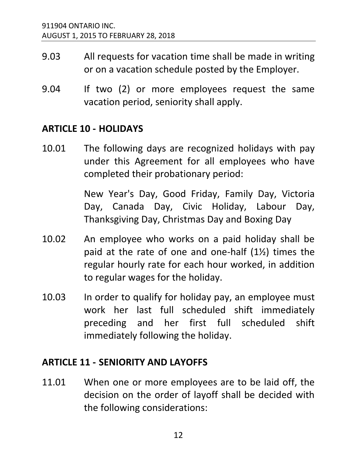- 9.03 All requests for vacation time shall be made in writing or on a vacation schedule posted by the Employer.
- 9.04 If two (2) or more employees request the same vacation period, seniority shall apply.

#### <span id="page-15-0"></span>**ARTICLE 10 - HOLIDAYS**

10.01 The following days are recognized holidays with pay under this Agreement for all employees who have completed their probationary period:

> New Year's Day, Good Friday, Family Day, Victoria Day, Canada Day, Civic Holiday, Labour Day, Thanksgiving Day, Christmas Day and Boxing Day

- 10.02 An employee who works on a paid holiday shall be paid at the rate of one and one-half (1½) times the regular hourly rate for each hour worked, in addition to regular wages for the holiday.
- 10.03 In order to qualify for holiday pay, an employee must work her last full scheduled shift immediately preceding and her first full scheduled shift immediately following the holiday.

#### <span id="page-15-1"></span>**ARTICLE 11 - SENIORITY AND LAYOFFS**

11.01 When one or more employees are to be laid off, the decision on the order of layoff shall be decided with the following considerations: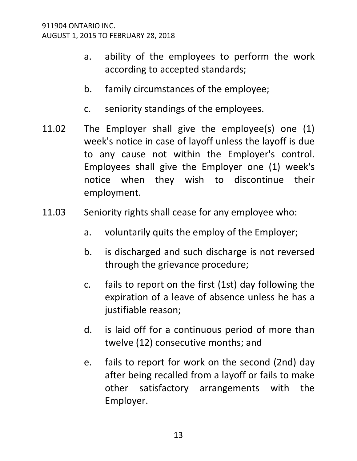- a. ability of the employees to perform the work according to accepted standards;
- b. family circumstances of the employee;
- c. seniority standings of the employees.
- 11.02 The Employer shall give the employee(s) one (1) week's notice in case of layoff unless the layoff is due to any cause not within the Employer's control. Employees shall give the Employer one (1) week's notice when they wish to discontinue their employment.
- 11.03 Seniority rights shall cease for any employee who:
	- a. voluntarily quits the employ of the Employer;
	- b. is discharged and such discharge is not reversed through the grievance procedure;
	- c. fails to report on the first (1st) day following the expiration of a leave of absence unless he has a justifiable reason;
	- d. is laid off for a continuous period of more than twelve (12) consecutive months; and
	- e. fails to report for work on the second (2nd) day after being recalled from a layoff or fails to make other satisfactory arrangements with the Employer.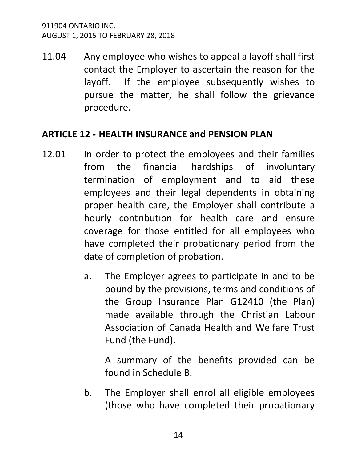11.04 Any employee who wishes to appeal a layoff shall first contact the Employer to ascertain the reason for the layoff. If the employee subsequently wishes to pursue the matter, he shall follow the grievance procedure.

#### <span id="page-17-0"></span>**ARTICLE 12 - HEALTH INSURANCE and PENSION PLAN**

- 12.01 In order to protect the employees and their families from the financial hardships of involuntary termination of employment and to aid these employees and their legal dependents in obtaining proper health care, the Employer shall contribute a hourly contribution for health care and ensure coverage for those entitled for all employees who have completed their probationary period from the date of completion of probation.
	- a. The Employer agrees to participate in and to be bound by the provisions, terms and conditions of the Group Insurance Plan G12410 (the Plan) made available through the Christian Labour Association of Canada Health and Welfare Trust Fund (the Fund).

A summary of the benefits provided can be found in Schedule B.

b. The Employer shall enrol all eligible employees (those who have completed their probationary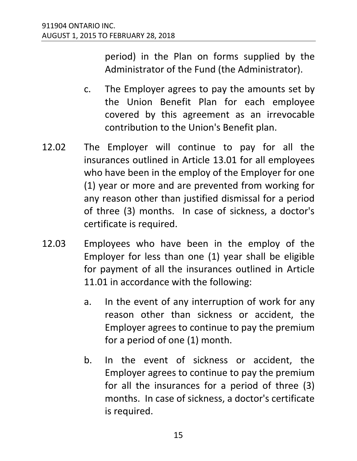period) in the Plan on forms supplied by the Administrator of the Fund (the Administrator).

- c. The Employer agrees to pay the amounts set by the Union Benefit Plan for each employee covered by this agreement as an irrevocable contribution to the Union's Benefit plan.
- 12.02 The Employer will continue to pay for all the insurances outlined in Article 13.01 for all employees who have been in the employ of the Employer for one (1) year or more and are prevented from working for any reason other than justified dismissal for a period of three (3) months. In case of sickness, a doctor's certificate is required.
- 12.03 Employees who have been in the employ of the Employer for less than one (1) year shall be eligible for payment of all the insurances outlined in Article 11.01 in accordance with the following:
	- a. In the event of any interruption of work for any reason other than sickness or accident, the Employer agrees to continue to pay the premium for a period of one (1) month.
	- b. In the event of sickness or accident, the Employer agrees to continue to pay the premium for all the insurances for a period of three (3) months. In case of sickness, a doctor's certificate is required.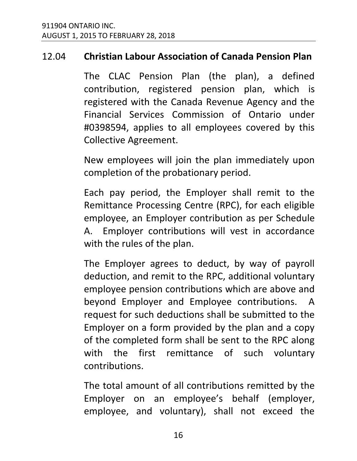#### 12.04 **Christian Labour Association of Canada Pension Plan**

The CLAC Pension Plan (the plan), a defined contribution, registered pension plan, which is registered with the Canada Revenue Agency and the Financial Services Commission of Ontario under #0398594, applies to all employees covered by this Collective Agreement.

New employees will join the plan immediately upon completion of the probationary period.

Each pay period, the Employer shall remit to the Remittance Processing Centre (RPC), for each eligible employee, an Employer contribution as per Schedule A. Employer contributions will vest in accordance with the rules of the plan.

The Employer agrees to deduct, by way of payroll deduction, and remit to the RPC, additional voluntary employee pension contributions which are above and beyond Employer and Employee contributions. A request for such deductions shall be submitted to the Employer on a form provided by the plan and a copy of the completed form shall be sent to the RPC along with the first remittance of such voluntary contributions.

The total amount of all contributions remitted by the Employer on an employee's behalf (employer, employee, and voluntary), shall not exceed the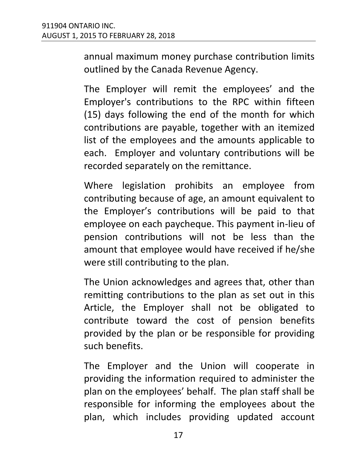annual maximum money purchase contribution limits outlined by the Canada Revenue Agency.

The Employer will remit the employees' and the Employer's contributions to the RPC within fifteen (15) days following the end of the month for which contributions are payable, together with an itemized list of the employees and the amounts applicable to each. Employer and voluntary contributions will be recorded separately on the remittance.

Where legislation prohibits an employee from contributing because of age, an amount equivalent to the Employer's contributions will be paid to that employee on each paycheque. This payment in-lieu of pension contributions will not be less than the amount that employee would have received if he/she were still contributing to the plan.

The Union acknowledges and agrees that, other than remitting contributions to the plan as set out in this Article, the Employer shall not be obligated to contribute toward the cost of pension benefits provided by the plan or be responsible for providing such benefits.

The Employer and the Union will cooperate in providing the information required to administer the plan on the employees' behalf. The plan staff shall be responsible for informing the employees about the plan, which includes providing updated account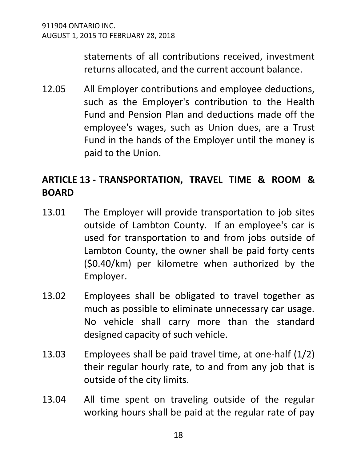statements of all contributions received, investment returns allocated, and the current account balance.

12.05 All Employer contributions and employee deductions, such as the Employer's contribution to the Health Fund and Pension Plan and deductions made off the employee's wages, such as Union dues, are a Trust Fund in the hands of the Employer until the money is paid to the Union.

#### <span id="page-21-0"></span>**ARTICLE 13 - TRANSPORTATION, TRAVEL TIME & ROOM & BOARD**

- 13.01 The Employer will provide transportation to job sites outside of Lambton County. If an employee's car is used for transportation to and from jobs outside of Lambton County, the owner shall be paid forty cents (\$0.40/km) per kilometre when authorized by the Employer.
- 13.02 Employees shall be obligated to travel together as much as possible to eliminate unnecessary car usage. No vehicle shall carry more than the standard designed capacity of such vehicle.
- 13.03 Employees shall be paid travel time, at one-half (1/2) their regular hourly rate, to and from any job that is outside of the city limits.
- 13.04 All time spent on traveling outside of the regular working hours shall be paid at the regular rate of pay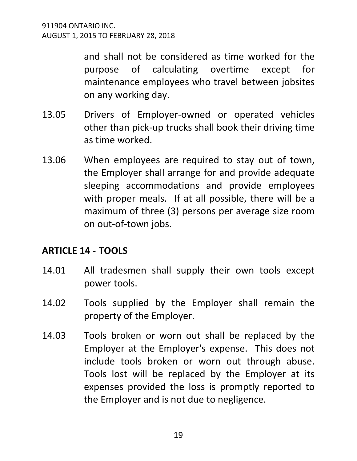and shall not be considered as time worked for the purpose of calculating overtime except for maintenance employees who travel between jobsites on any working day.

- 13.05 Drivers of Employer-owned or operated vehicles other than pick-up trucks shall book their driving time as time worked.
- 13.06 When employees are required to stay out of town, the Employer shall arrange for and provide adequate sleeping accommodations and provide employees with proper meals. If at all possible, there will be a maximum of three (3) persons per average size room on out-of-town jobs.

#### <span id="page-22-0"></span>**ARTICLE 14 - TOOLS**

- 14.01 All tradesmen shall supply their own tools except power tools.
- 14.02 Tools supplied by the Employer shall remain the property of the Employer.
- 14.03 Tools broken or worn out shall be replaced by the Employer at the Employer's expense. This does not include tools broken or worn out through abuse. Tools lost will be replaced by the Employer at its expenses provided the loss is promptly reported to the Employer and is not due to negligence.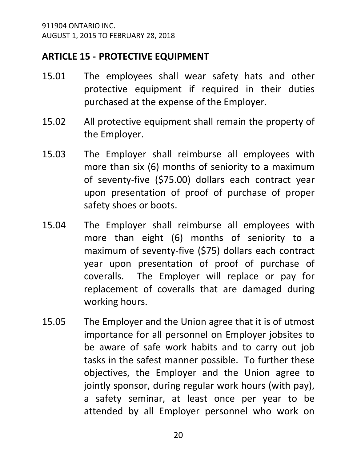#### <span id="page-23-0"></span>**ARTICLE 15 - PROTECTIVE EQUIPMENT**

- 15.01 The employees shall wear safety hats and other protective equipment if required in their duties purchased at the expense of the Employer.
- 15.02 All protective equipment shall remain the property of the Employer.
- 15.03 The Employer shall reimburse all employees with more than six (6) months of seniority to a maximum of seventy-five (\$75.00) dollars each contract year upon presentation of proof of purchase of proper safety shoes or boots.
- 15.04 The Employer shall reimburse all employees with more than eight (6) months of seniority to a maximum of seventy-five (\$75) dollars each contract year upon presentation of proof of purchase of coveralls. The Employer will replace or pay for replacement of coveralls that are damaged during working hours.
- 15.05 The Employer and the Union agree that it is of utmost importance for all personnel on Employer jobsites to be aware of safe work habits and to carry out job tasks in the safest manner possible. To further these objectives, the Employer and the Union agree to jointly sponsor, during regular work hours (with pay), a safety seminar, at least once per year to be attended by all Employer personnel who work on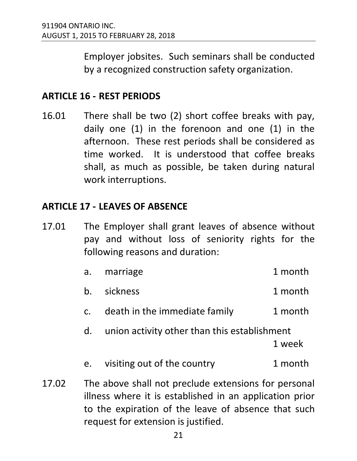Employer jobsites. Such seminars shall be conducted by a recognized construction safety organization.

#### <span id="page-24-0"></span>**ARTICLE 16 - REST PERIODS**

16.01 There shall be two (2) short coffee breaks with pay, daily one (1) in the forenoon and one (1) in the afternoon. These rest periods shall be considered as time worked. It is understood that coffee breaks shall, as much as possible, be taken during natural work interruptions.

#### <span id="page-24-1"></span>**ARTICLE 17 - LEAVES OF ABSENCE**

17.01 The Employer shall grant leaves of absence without pay and without loss of seniority rights for the following reasons and duration:

|       | a.            | marriage                                                                                                                                                               | 1 month |
|-------|---------------|------------------------------------------------------------------------------------------------------------------------------------------------------------------------|---------|
|       | b.            | sickness                                                                                                                                                               | 1 month |
|       | $C_{\bullet}$ | death in the immediate family                                                                                                                                          | 1 month |
|       | d.            | union activity other than this establishment                                                                                                                           | 1 week  |
|       | e.            | visiting out of the country                                                                                                                                            | 1 month |
| 17.02 |               | The above shall not preclude extensions for personal<br>illness where it is established in an application prior<br>to the expiration of the leave of absence that such |         |

request for extension is justified.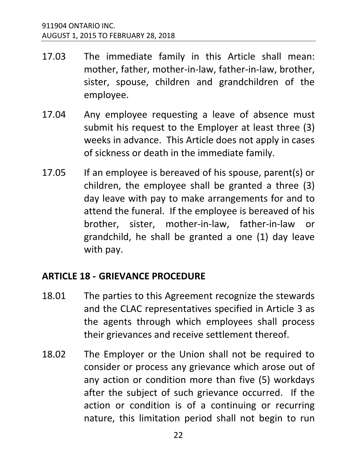- 17.03 The immediate family in this Article shall mean: mother, father, mother-in-law, father-in-law, brother, sister, spouse, children and grandchildren of the employee.
- 17.04 Any employee requesting a leave of absence must submit his request to the Employer at least three (3) weeks in advance. This Article does not apply in cases of sickness or death in the immediate family.
- 17.05 If an employee is bereaved of his spouse, parent(s) or children, the employee shall be granted a three (3) day leave with pay to make arrangements for and to attend the funeral. If the employee is bereaved of his brother, sister, mother-in-law, father-in-law or grandchild, he shall be granted a one (1) day leave with pay.

#### <span id="page-25-0"></span>**ARTICLE 18 - GRIEVANCE PROCEDURE**

- 18.01 The parties to this Agreement recognize the stewards and the CLAC representatives specified in Article 3 as the agents through which employees shall process their grievances and receive settlement thereof.
- 18.02 The Employer or the Union shall not be required to consider or process any grievance which arose out of any action or condition more than five (5) workdays after the subject of such grievance occurred. If the action or condition is of a continuing or recurring nature, this limitation period shall not begin to run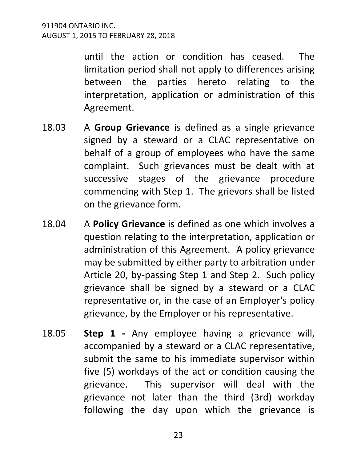until the action or condition has ceased. The limitation period shall not apply to differences arising between the parties hereto relating to the interpretation, application or administration of this Agreement.

- 18.03 A **Group Grievance** is defined as a single grievance signed by a steward or a CLAC representative on behalf of a group of employees who have the same complaint. Such grievances must be dealt with at successive stages of the grievance procedure commencing with Step 1. The grievors shall be listed on the grievance form.
- 18.04 A **Policy Grievance** is defined as one which involves a question relating to the interpretation, application or administration of this Agreement. A policy grievance may be submitted by either party to arbitration under Article 20, by-passing Step 1 and Step 2. Such policy grievance shall be signed by a steward or a CLAC representative or, in the case of an Employer's policy grievance, by the Employer or his representative.
- 18.05 **Step 1** Any employee having a grievance will, accompanied by a steward or a CLAC representative, submit the same to his immediate supervisor within five (5) workdays of the act or condition causing the grievance. This supervisor will deal with the grievance not later than the third (3rd) workday following the day upon which the grievance is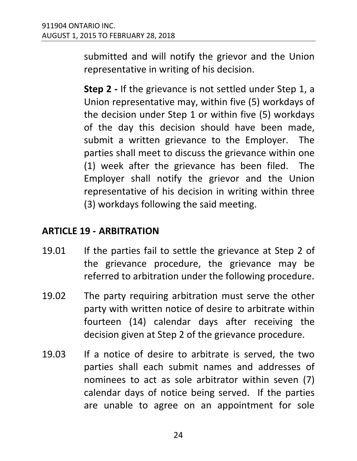submitted and will notify the grievor and the Union representative in writing of his decision.

**Step 2 -** If the grievance is not settled under Step 1, a Union representative may, within five (5) workdays of the decision under Step 1 or within five (5) workdays of the day this decision should have been made, submit a written grievance to the Employer. The parties shall meet to discuss the grievance within one (1) week after the grievance has been filed. The Employer shall notify the grievor and the Union representative of his decision in writing within three (3) workdays following the said meeting.

#### <span id="page-27-0"></span>**ARTICLE 19 - ARBITRATION**

- 19.01 If the parties fail to settle the grievance at Step 2 of the grievance procedure, the grievance may be referred to arbitration under the following procedure.
- 19.02 The party requiring arbitration must serve the other party with written notice of desire to arbitrate within fourteen (14) calendar days after receiving the decision given at Step 2 of the grievance procedure.
- 19.03 If a notice of desire to arbitrate is served, the two parties shall each submit names and addresses of nominees to act as sole arbitrator within seven (7) calendar days of notice being served. If the parties are unable to agree on an appointment for sole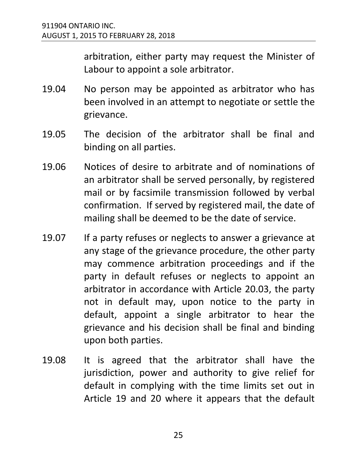arbitration, either party may request the Minister of Labour to appoint a sole arbitrator.

- 19.04 No person may be appointed as arbitrator who has been involved in an attempt to negotiate or settle the grievance.
- 19.05 The decision of the arbitrator shall be final and binding on all parties.
- 19.06 Notices of desire to arbitrate and of nominations of an arbitrator shall be served personally, by registered mail or by facsimile transmission followed by verbal confirmation. If served by registered mail, the date of mailing shall be deemed to be the date of service.
- 19.07 If a party refuses or neglects to answer a grievance at any stage of the grievance procedure, the other party may commence arbitration proceedings and if the party in default refuses or neglects to appoint an arbitrator in accordance with Article 20.03, the party not in default may, upon notice to the party in default, appoint a single arbitrator to hear the grievance and his decision shall be final and binding upon both parties.
- 19.08 It is agreed that the arbitrator shall have the jurisdiction, power and authority to give relief for default in complying with the time limits set out in Article 19 and 20 where it appears that the default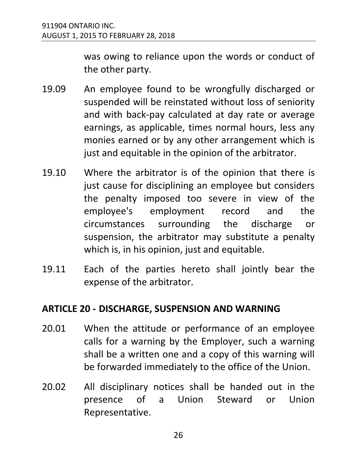was owing to reliance upon the words or conduct of the other party.

- 19.09 An employee found to be wrongfully discharged or suspended will be reinstated without loss of seniority and with back-pay calculated at day rate or average earnings, as applicable, times normal hours, less any monies earned or by any other arrangement which is just and equitable in the opinion of the arbitrator.
- 19.10 Where the arbitrator is of the opinion that there is just cause for disciplining an employee but considers the penalty imposed too severe in view of the employee's employment record and the circumstances surrounding the discharge or suspension, the arbitrator may substitute a penalty which is, in his opinion, just and equitable.
- 19.11 Each of the parties hereto shall jointly bear the expense of the arbitrator.

#### <span id="page-29-0"></span>**ARTICLE 20 - DISCHARGE, SUSPENSION AND WARNING**

- 20.01 When the attitude or performance of an employee calls for a warning by the Employer, such a warning shall be a written one and a copy of this warning will be forwarded immediately to the office of the Union.
- 20.02 All disciplinary notices shall be handed out in the presence of a Union Steward or Union Representative.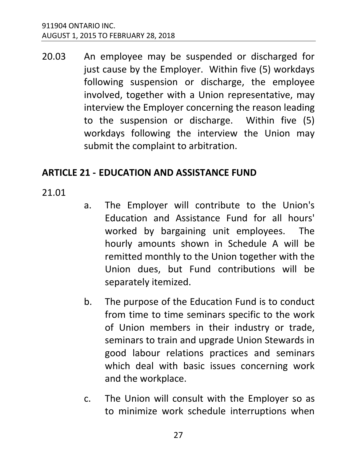20.03 An employee may be suspended or discharged for just cause by the Employer. Within five (5) workdays following suspension or discharge, the employee involved, together with a Union representative, may interview the Employer concerning the reason leading to the suspension or discharge. Within five (5) workdays following the interview the Union may submit the complaint to arbitration.

#### <span id="page-30-0"></span>**ARTICLE 21 - EDUCATION AND ASSISTANCE FUND**

21.01

- a. The Employer will contribute to the Union's Education and Assistance Fund for all hours' worked by bargaining unit employees. The hourly amounts shown in Schedule A will be remitted monthly to the Union together with the Union dues, but Fund contributions will be separately itemized.
- b. The purpose of the Education Fund is to conduct from time to time seminars specific to the work of Union members in their industry or trade, seminars to train and upgrade Union Stewards in good labour relations practices and seminars which deal with basic issues concerning work and the workplace.
- c. The Union will consult with the Employer so as to minimize work schedule interruptions when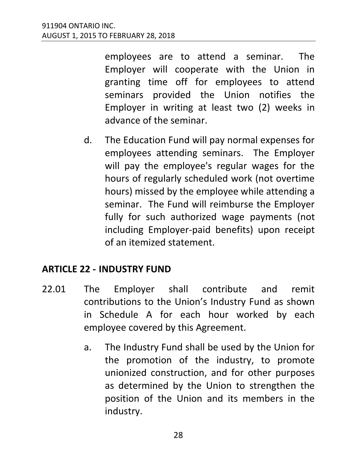employees are to attend a seminar. The Employer will cooperate with the Union in granting time off for employees to attend seminars provided the Union notifies the Employer in writing at least two (2) weeks in advance of the seminar.

d. The Education Fund will pay normal expenses for employees attending seminars. The Employer will pay the employee's regular wages for the hours of regularly scheduled work (not overtime hours) missed by the employee while attending a seminar. The Fund will reimburse the Employer fully for such authorized wage payments (not including Employer-paid benefits) upon receipt of an itemized statement.

#### <span id="page-31-0"></span>**ARTICLE 22 - INDUSTRY FUND**

- 22.01 The Employer shall contribute and remit contributions to the Union's Industry Fund as shown in Schedule A for each hour worked by each employee covered by this Agreement.
	- a. The Industry Fund shall be used by the Union for the promotion of the industry, to promote unionized construction, and for other purposes as determined by the Union to strengthen the position of the Union and its members in the industry.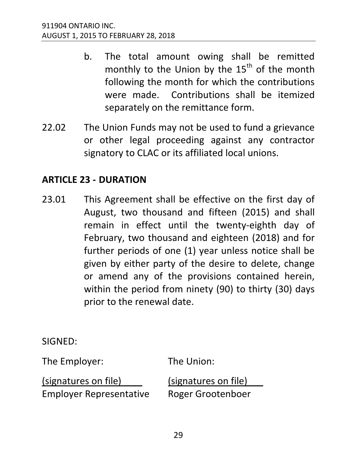- b. The total amount owing shall be remitted monthly to the Union by the  $15<sup>th</sup>$  of the month following the month for which the contributions were made. Contributions shall be itemized separately on the remittance form.
- 22.02 The Union Funds may not be used to fund a grievance or other legal proceeding against any contractor signatory to CLAC or its affiliated local unions.

#### <span id="page-32-0"></span>**ARTICLE 23 - DURATION**

23.01 This Agreement shall be effective on the first day of August, two thousand and fifteen (2015) and shall remain in effect until the twenty-eighth day of February, two thousand and eighteen (2018) and for further periods of one (1) year unless notice shall be given by either party of the desire to delete, change or amend any of the provisions contained herein, within the period from ninety (90) to thirty (30) days prior to the renewal date.

SIGNED:

The Employer: The Union:

(signatures on file) (signatures on file) Employer Representative Roger Grootenboer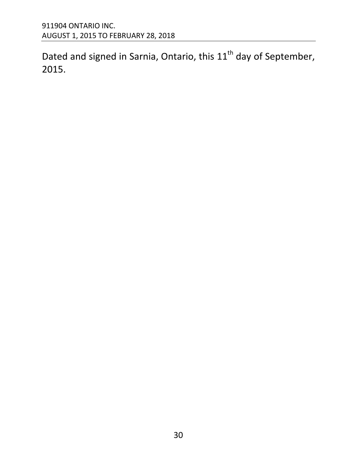Dated and signed in Sarnia, Ontario, this  $11<sup>th</sup>$  day of September, 2015.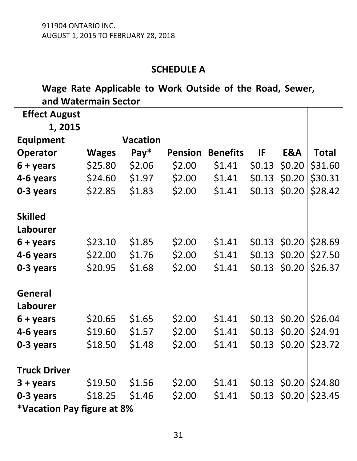#### **SCHEDULE A**

#### <span id="page-34-0"></span>**Wage Rate Applicable to Work Outside of the Road, Sewer, and Watermain Sector**

| <b>Effect August</b> |              |                 |                |                 |        |                |              |
|----------------------|--------------|-----------------|----------------|-----------------|--------|----------------|--------------|
| 1,2015               |              |                 |                |                 |        |                |              |
| <b>Equipment</b>     |              | <b>Vacation</b> |                |                 |        |                |              |
| <b>Operator</b>      | <b>Wages</b> | $Pay*$          | <b>Pension</b> | <b>Benefits</b> | IF     | E&A            | <b>Total</b> |
| $6 + \gamma$ ears    | \$25.80      | \$2.06          | \$2.00         | \$1.41          | \$0.13 | \$0.20         | \$31.60      |
| 4-6 years            | \$24.60      | \$1.97          | \$2.00         | \$1.41          | \$0.13 | \$0.20         | \$30.31      |
| 0-3 years            | \$22.85      | \$1.83          | \$2.00         | \$1.41          | \$0.13 | \$0.20         | \$28.42      |
|                      |              |                 |                |                 |        |                |              |
| <b>Skilled</b>       |              |                 |                |                 |        |                |              |
| Labourer             |              |                 |                |                 |        |                |              |
| 6 + years            | \$23.10      | \$1.85          | \$2.00         | \$1.41          | \$0.13 | \$0.20         | \$28.69      |
| 4-6 years            | \$22.00      | \$1.76          | \$2.00         | \$1.41          | \$0.13 | \$0.20         | \$27.50      |
| 0-3 years            | \$20.95      | \$1.68          | \$2.00         | \$1.41          | \$0.13 | \$0.20         | \$26.37      |
|                      |              |                 |                |                 |        |                |              |
| <b>General</b>       |              |                 |                |                 |        |                |              |
| Labourer             |              |                 |                |                 |        |                |              |
| 6 + years            | \$20.65      | \$1.65          | \$2.00         | \$1.41          |        | $$0.13$ \$0.20 | \$26.04      |
| 4-6 years            | \$19.60      | \$1.57          | \$2.00         | \$1.41          | \$0.13 | \$0.20         | \$24.91      |
| 0-3 years            | \$18.50      | \$1.48          | \$2.00         | \$1.41          | \$0.13 | \$0.20         | \$23.72      |
|                      |              |                 |                |                 |        |                |              |
| <b>Truck Driver</b>  |              |                 |                |                 |        |                |              |
| $3 + \gamma$ ears    | \$19.50      | \$1.56          | \$2.00         | \$1.41          | \$0.13 | \$0.20         | \$24.80      |
| 0-3 years            | \$18.25      | \$1.46          | \$2.00         | \$1.41          | \$0.13 | \$0.20         | \$23.45      |

**\*Vacation Pay figure at 8%**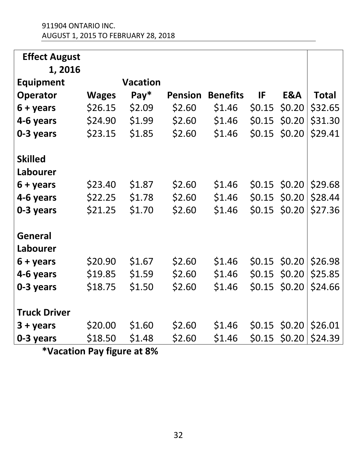| <b>Effect August</b> |              |                 |                |                 |        |                |              |
|----------------------|--------------|-----------------|----------------|-----------------|--------|----------------|--------------|
| 1, 2016              |              |                 |                |                 |        |                |              |
| <b>Equipment</b>     |              | <b>Vacation</b> |                |                 |        |                |              |
| <b>Operator</b>      | <b>Wages</b> | $Pay*$          | <b>Pension</b> | <b>Benefits</b> | IF     | E&A            | <b>Total</b> |
| 6 + years            | \$26.15      | \$2.09          | \$2.60         | \$1.46          | \$0.15 | \$0.20         | \$32.65      |
| 4-6 years            | \$24.90      | \$1.99          | \$2.60         | \$1.46          | \$0.15 | \$0.20         | \$31.30      |
| 0-3 years            | \$23.15      | \$1.85          | \$2.60         | \$1.46          | \$0.15 | \$0.20         | \$29.41      |
|                      |              |                 |                |                 |        |                |              |
| <b>Skilled</b>       |              |                 |                |                 |        |                |              |
| Labourer             |              |                 |                |                 |        |                |              |
| 6 + years            | \$23.40      | \$1.87          | \$2.60         | \$1.46          | \$0.15 | \$0.20         | \$29.68      |
| 4-6 years            | \$22.25      | \$1.78          | \$2.60         | \$1.46          | \$0.15 | \$0.20         | \$28.44      |
| 0-3 years            | \$21.25      | \$1.70          | \$2.60         | \$1.46          |        | $$0.15$ \$0.20 | \$27.36      |
|                      |              |                 |                |                 |        |                |              |
| <b>General</b>       |              |                 |                |                 |        |                |              |
| Labourer             |              |                 |                |                 |        |                |              |
| $6 + \gamma$ ears    | \$20.90      | \$1.67          | \$2.60         | \$1.46          |        | $$0.15$ \$0.20 | \$26.98      |
| 4-6 years            | \$19.85      | \$1.59          | \$2.60         | \$1.46          | \$0.15 | \$0.20         | \$25.85      |
| 0-3 years            | \$18.75      | \$1.50          | \$2.60         | \$1.46          | \$0.15 | \$0.20         | \$24.66      |
|                      |              |                 |                |                 |        |                |              |
| <b>Truck Driver</b>  |              |                 |                |                 |        |                |              |
| $3 + \gamma$ ears    | \$20.00      | \$1.60          | \$2.60         | \$1.46          |        | $$0.15$ \$0.20 | \$26.01      |
| 0-3 years            | \$18.50      | \$1.48          | \$2.60         | \$1.46          | \$0.15 | \$0.20         | \$24.39      |

**\*Vacation Pay figure at 8%**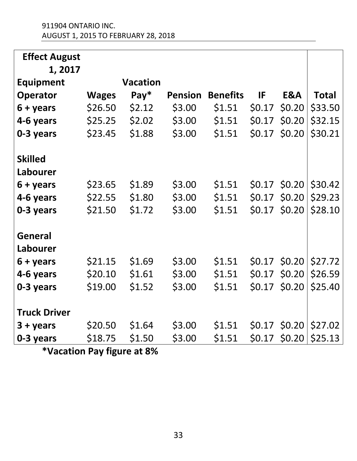| <b>Effect August</b> |              |                 |                |                 |        |        |              |
|----------------------|--------------|-----------------|----------------|-----------------|--------|--------|--------------|
| 1, 2017              |              |                 |                |                 |        |        |              |
| <b>Equipment</b>     |              | <b>Vacation</b> |                |                 |        |        |              |
| <b>Operator</b>      | <b>Wages</b> | $Pay*$          | <b>Pension</b> | <b>Benefits</b> | IF     | E&A    | <b>Total</b> |
| $6 + years$          | \$26.50      | \$2.12          | \$3.00         | \$1.51          | \$0.17 | \$0.20 | \$33.50      |
| 4-6 years            | \$25.25      | \$2.02          | \$3.00         | \$1.51          | \$0.17 | \$0.20 | \$32.15      |
| 0-3 years            | \$23.45      | \$1.88          | \$3.00         | \$1.51          | \$0.17 | \$0.20 | \$30.21      |
|                      |              |                 |                |                 |        |        |              |
| <b>Skilled</b>       |              |                 |                |                 |        |        |              |
| Labourer             |              |                 |                |                 |        |        |              |
| $6 + years$          | \$23.65      | \$1.89          | \$3.00         | \$1.51          | \$0.17 | \$0.20 | \$30.42      |
| 4-6 years            | \$22.55      | \$1.80          | \$3.00         | \$1.51          | \$0.17 | \$0.20 | \$29.23      |
| 0-3 years            | \$21.50      | \$1.72          | \$3.00         | \$1.51          | \$0.17 | \$0.20 | \$28.10      |
|                      |              |                 |                |                 |        |        |              |
| <b>General</b>       |              |                 |                |                 |        |        |              |
| Labourer             |              |                 |                |                 |        |        |              |
| $6 + \gamma$ ears    | \$21.15      | \$1.69          | \$3.00         | \$1.51          | \$0.17 | \$0.20 | \$27.72      |
| 4-6 years            | \$20.10      | \$1.61          | \$3.00         | \$1.51          | \$0.17 | \$0.20 | \$26.59      |
| 0-3 years            | \$19.00      | \$1.52          | \$3.00         | \$1.51          | \$0.17 | \$0.20 | \$25.40      |
|                      |              |                 |                |                 |        |        |              |
| <b>Truck Driver</b>  |              |                 |                |                 |        |        |              |
| $3 + years$          | \$20.50      | \$1.64          | \$3.00         | \$1.51          | \$0.17 | \$0.20 | \$27.02      |
| 0-3 years            | \$18.75      | \$1.50          | \$3.00         | \$1.51          | \$0.17 | \$0.20 | \$25.13      |

**\*Vacation Pay figure at 8%**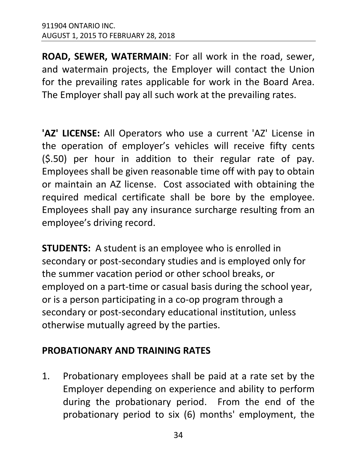**ROAD, SEWER, WATERMAIN**: For all work in the road, sewer, and watermain projects, the Employer will contact the Union for the prevailing rates applicable for work in the Board Area. The Employer shall pay all such work at the prevailing rates.

**'AZ' LICENSE:** All Operators who use a current 'AZ' License in the operation of employer's vehicles will receive fifty cents (\$.50) per hour in addition to their regular rate of pay. Employees shall be given reasonable time off with pay to obtain or maintain an AZ license. Cost associated with obtaining the required medical certificate shall be bore by the employee. Employees shall pay any insurance surcharge resulting from an employee's driving record.

**STUDENTS:** A student is an employee who is enrolled in secondary or post-secondary studies and is employed only for the summer vacation period or other school breaks, or employed on a part-time or casual basis during the school year, or is a person participating in a co-op program through a secondary or post-secondary educational institution, unless otherwise mutually agreed by the parties.

#### **PROBATIONARY AND TRAINING RATES**

1. Probationary employees shall be paid at a rate set by the Employer depending on experience and ability to perform during the probationary period. From the end of the probationary period to six (6) months' employment, the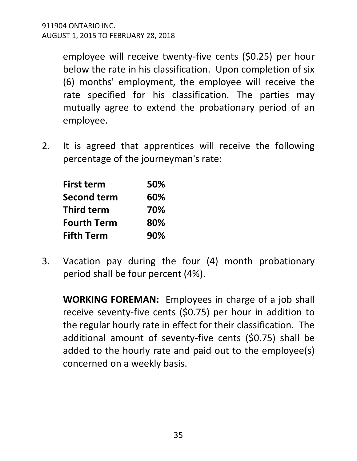employee will receive twenty-five cents (\$0.25) per hour below the rate in his classification. Upon completion of six (6) months' employment, the employee will receive the rate specified for his classification. The parties may mutually agree to extend the probationary period of an employee.

2. It is agreed that apprentices will receive the following percentage of the journeyman's rate:

| <b>First term</b>  | 50% |
|--------------------|-----|
| <b>Second term</b> | 60% |
| <b>Third term</b>  | 70% |
| <b>Fourth Term</b> | 80% |
| <b>Fifth Term</b>  | 90% |

3. Vacation pay during the four (4) month probationary period shall be four percent (4%).

**WORKING FOREMAN:** Employees in charge of a job shall receive seventy-five cents (\$0.75) per hour in addition to the regular hourly rate in effect for their classification. The additional amount of seventy-five cents (\$0.75) shall be added to the hourly rate and paid out to the employee(s) concerned on a weekly basis.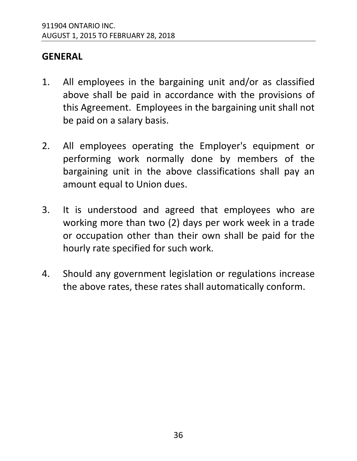#### **GENERAL**

- 1. All employees in the bargaining unit and/or as classified above shall be paid in accordance with the provisions of this Agreement. Employees in the bargaining unit shall not be paid on a salary basis.
- 2. All employees operating the Employer's equipment or performing work normally done by members of the bargaining unit in the above classifications shall pay an amount equal to Union dues.
- 3. It is understood and agreed that employees who are working more than two (2) days per work week in a trade or occupation other than their own shall be paid for the hourly rate specified for such work.
- 4. Should any government legislation or regulations increase the above rates, these rates shall automatically conform.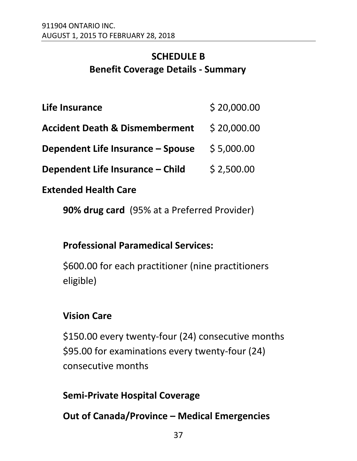#### <span id="page-40-0"></span>**SCHEDULE B Benefit Coverage Details - Summary**

| Life Insurance | \$20,000.00 |
|----------------|-------------|
|                |             |

- **Accident Death & Dismemberment** \$ 20,000.00
- **Dependent Life Insurance – Spouse** \$ 5,000.00
- **Dependent Life Insurance – Child** \$ 2,500.00

#### **Extended Health Care**

**90% drug card** (95% at a Preferred Provider)

#### **Professional Paramedical Services:**

\$600.00 for each practitioner (nine practitioners eligible)

#### **Vision Care**

\$150.00 every twenty-four (24) consecutive months \$95.00 for examinations every twenty-four (24) consecutive months

#### **Semi-Private Hospital Coverage**

**Out of Canada/Province – Medical Emergencies**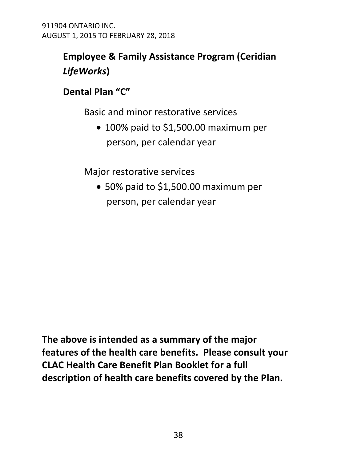#### **Employee & Family Assistance Program (Ceridian**  *LifeWorks***)**

#### **Dental Plan "C"**

Basic and minor restorative services

• 100% paid to \$1,500.00 maximum per person, per calendar year

Major restorative services

 50% paid to \$1,500.00 maximum per person, per calendar year

**The above is intended as a summary of the major features of the health care benefits. Please consult your CLAC Health Care Benefit Plan Booklet for a full description of health care benefits covered by the Plan.**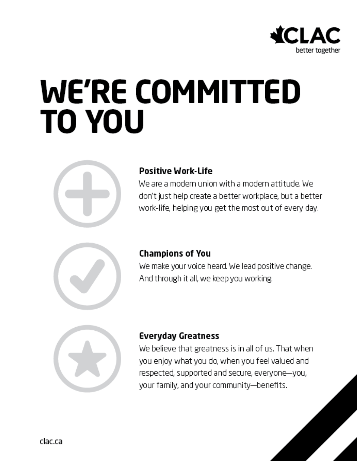

## **WE'RE COMMITTED TO YOU**



#### **Positive Work-life**

We are a modern union with a modern attitude. We don't just help create a better workplace, but a better work-life, helping you get the most out of every day.



#### **Champions of You**

We make your voice heard. We lead positive change. And through it all, we keep you working.



#### **Everyday Greatness**

We believe that greatness is in all of us. That when you enjoy what you do, when you feel valued and respected, supported and secure, everyone-you, your family, and your community-benefits.